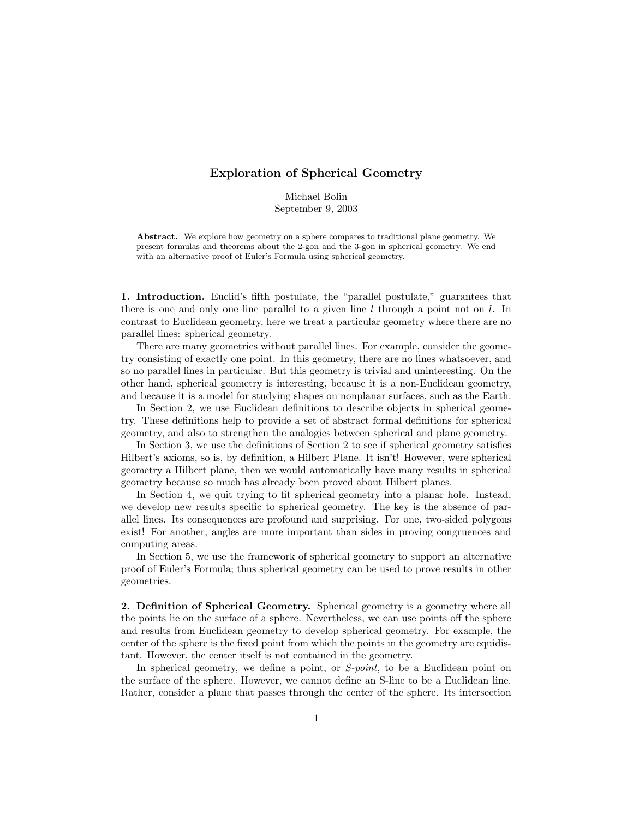## Exploration of Spherical Geometry

Michael Bolin September 9, 2003

Abstract. We explore how geometry on a sphere compares to traditional plane geometry. We present formulas and theorems about the 2-gon and the 3-gon in spherical geometry. We end with an alternative proof of Euler's Formula using spherical geometry.

1. Introduction. Euclid's fifth postulate, the "parallel postulate," guarantees that there is one and only one line parallel to a given line  $l$  through a point not on  $l$ . In contrast to Euclidean geometry, here we treat a particular geometry where there are no parallel lines: spherical geometry.

There are many geometries without parallel lines. For example, consider the geometry consisting of exactly one point. In this geometry, there are no lines whatsoever, and so no parallel lines in particular. But this geometry is trivial and uninteresting. On the other hand, spherical geometry is interesting, because it is a non-Euclidean geometry, and because it is a model for studying shapes on nonplanar surfaces, such as the Earth.

In Section 2, we use Euclidean definitions to describe objects in spherical geometry. These definitions help to provide a set of abstract formal definitions for spherical geometry, and also to strengthen the analogies between spherical and plane geometry.

In Section 3, we use the definitions of Section 2 to see if spherical geometry satisfies Hilbert's axioms, so is, by definition, a Hilbert Plane. It isn't! However, were spherical geometry a Hilbert plane, then we would automatically have many results in spherical geometry because so much has already been proved about Hilbert planes.

In Section 4, we quit trying to fit spherical geometry into a planar hole. Instead, we develop new results specific to spherical geometry. The key is the absence of parallel lines. Its consequences are profound and surprising. For one, two-sided polygons exist! For another, angles are more important than sides in proving congruences and computing areas.

In Section 5, we use the framework of spherical geometry to support an alternative proof of Euler's Formula; thus spherical geometry can be used to prove results in other geometries.

2. Definition of Spherical Geometry. Spherical geometry is a geometry where all the points lie on the surface of a sphere. Nevertheless, we can use points off the sphere and results from Euclidean geometry to develop spherical geometry. For example, the center of the sphere is the fixed point from which the points in the geometry are equidistant. However, the center itself is not contained in the geometry.

In spherical geometry, we define a point, or S-*point*, to be a Euclidean point on the surface of the sphere. However, we cannot define an S-line to be a Euclidean line. Rather, consider a plane that passes through the center of the sphere. Its intersection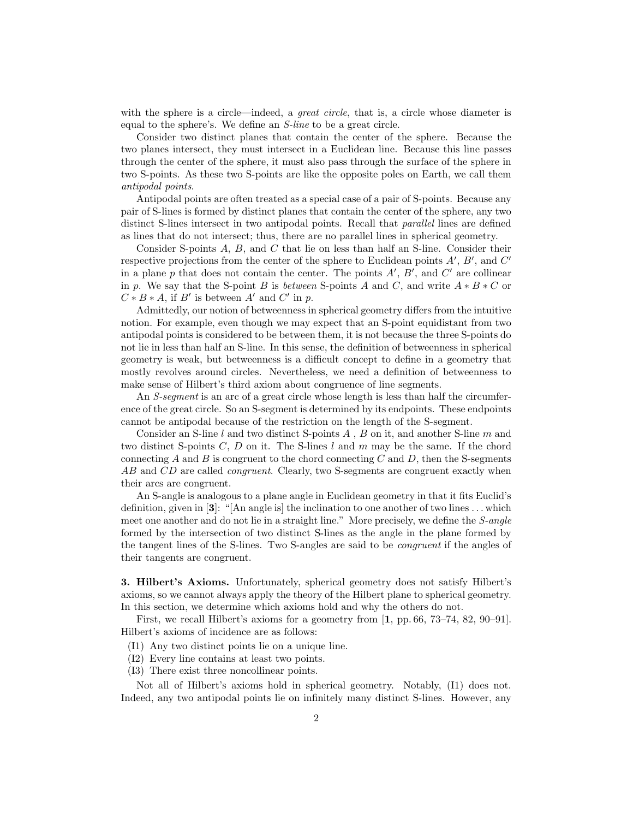with the sphere is a circle—indeed, a *great circle*, that is, a circle whose diameter is equal to the sphere's. We define an S-line to be a great circle.

Consider two distinct planes that contain the center of the sphere. Because the two planes intersect, they must intersect in a Euclidean line. Because this line passes through the center of the sphere, it must also pass through the surface of the sphere in two S-points. As these two S-points are like the opposite poles on Earth, we call them antipodal points.

Antipodal points are often treated as a special case of a pair of S-points. Because any pair of S-lines is formed by distinct planes that contain the center of the sphere, any two distinct S-lines intersect in two antipodal points. Recall that parallel lines are defined as lines that do not intersect; thus, there are no parallel lines in spherical geometry.

Consider S-points A, B, and C that lie on less than half an S-line. Consider their respective projections from the center of the sphere to Euclidean points  $A'$ ,  $B'$ , and  $C'$ in a plane p that does not contain the center. The points  $A', B'$ , and  $C'$  are collinear in p. We say that the S-point B is between S-points A and C, and write  $A * B * C$  or  $C * B * A$ , if B' is between A' and C' in p.

Admittedly, our notion of betweenness in spherical geometry differs from the intuitive notion. For example, even though we may expect that an S-point equidistant from two antipodal points is considered to be between them, it is not because the three S-points do not lie in less than half an S-line. In this sense, the definition of betweenness in spherical geometry is weak, but betweenness is a difficult concept to define in a geometry that mostly revolves around circles. Nevertheless, we need a definition of betweenness to make sense of Hilbert's third axiom about congruence of line segments.

An *S*-segment is an arc of a great circle whose length is less than half the circumference of the great circle. So an S-segment is determined by its endpoints. These endpoints cannot be antipodal because of the restriction on the length of the S-segment.

Consider an S-line l and two distinct S-points  $A$ ,  $B$  on it, and another S-line  $m$  and two distinct S-points  $C, D$  on it. The S-lines l and m may be the same. If the chord connecting A and B is congruent to the chord connecting C and D, then the S-segments AB and CD are called *congruent*. Clearly, two S-segments are congruent exactly when their arcs are congruent.

An S-angle is analogous to a plane angle in Euclidean geometry in that it fits Euclid's definition, given in  $[3]$ : "[An angle is] the inclination to one another of two lines ... which meet one another and do not lie in a straight line." More precisely, we define the *S-angle* formed by the intersection of two distinct S-lines as the angle in the plane formed by the tangent lines of the S-lines. Two S-angles are said to be congruent if the angles of their tangents are congruent.

3. Hilbert's Axioms. Unfortunately, spherical geometry does not satisfy Hilbert's axioms, so we cannot always apply the theory of the Hilbert plane to spherical geometry. In this section, we determine which axioms hold and why the others do not.

First, we recall Hilbert's axioms for a geometry from [1, pp. 66, 73–74, 82, 90–91]. Hilbert's axioms of incidence are as follows:

- (I1) Any two distinct points lie on a unique line.
- (I2) Every line contains at least two points.
- (I3) There exist three noncollinear points.

Not all of Hilbert's axioms hold in spherical geometry. Notably, (I1) does not. Indeed, any two antipodal points lie on infinitely many distinct S-lines. However, any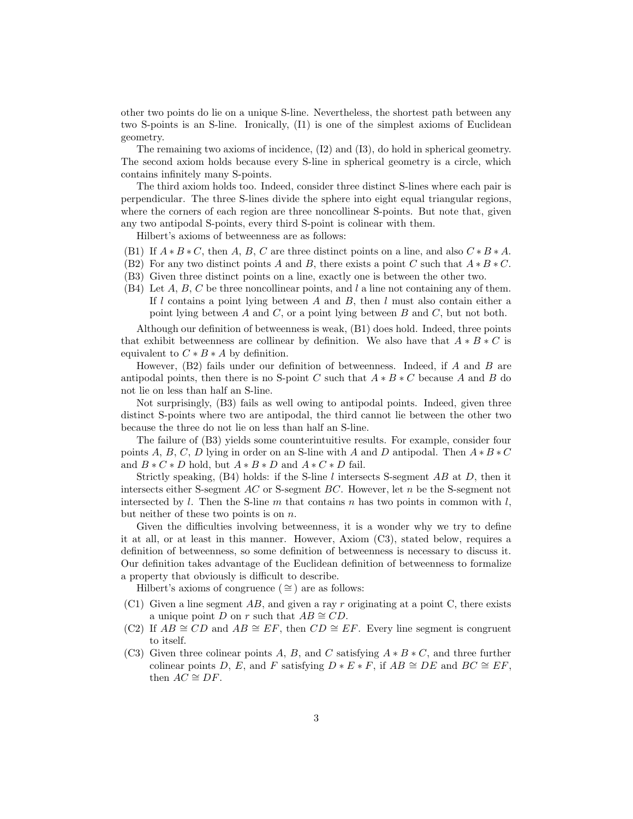other two points do lie on a unique S-line. Nevertheless, the shortest path between any two S-points is an S-line. Ironically, (I1) is one of the simplest axioms of Euclidean geometry.

The remaining two axioms of incidence, (I2) and (I3), do hold in spherical geometry. The second axiom holds because every S-line in spherical geometry is a circle, which contains infinitely many S-points.

The third axiom holds too. Indeed, consider three distinct S-lines where each pair is perpendicular. The three S-lines divide the sphere into eight equal triangular regions, where the corners of each region are three noncollinear S-points. But note that, given any two antipodal S-points, every third S-point is colinear with them.

Hilbert's axioms of betweenness are as follows:

- (B1) If  $A * B * C$ , then A, B, C are three distinct points on a line, and also  $C * B * A$ .
- (B2) For any two distinct points A and B, there exists a point C such that  $A * B * C$ .
- (B3) Given three distinct points on a line, exactly one is between the other two.
- (B4) Let  $A, B, C$  be three noncollinear points, and l a line not containing any of them. If  $l$  contains a point lying between  $A$  and  $B$ , then  $l$  must also contain either a point lying between  $A$  and  $C$ , or a point lying between  $B$  and  $C$ , but not both.

Although our definition of betweenness is weak, (B1) does hold. Indeed, three points that exhibit betweenness are collinear by definition. We also have that  $A * B * C$  is equivalent to  $C * B * A$  by definition.

However, (B2) fails under our definition of betweenness. Indeed, if A and B are antipodal points, then there is no S-point C such that  $A * B * C$  because A and B do not lie on less than half an S-line.

Not surprisingly, (B3) fails as well owing to antipodal points. Indeed, given three distinct S-points where two are antipodal, the third cannot lie between the other two because the three do not lie on less than half an S-line.

The failure of (B3) yields some counterintuitive results. For example, consider four points A, B, C, D lying in order on an S-line with A and D antipodal. Then  $A * B * C$ and  $B * C * D$  hold, but  $A * B * D$  and  $A * C * D$  fail.

Strictly speaking,  $(B4)$  holds: if the S-line l intersects S-segment AB at D, then it intersects either S-segment AC or S-segment BC. However, let n be the S-segment not intersected by l. Then the S-line m that contains n has two points in common with l, but neither of these two points is on n.

Given the difficulties involving betweenness, it is a wonder why we try to define it at all, or at least in this manner. However, Axiom (C3), stated below, requires a definition of betweenness, so some definition of betweenness is necessary to discuss it. Our definition takes advantage of the Euclidean definition of betweenness to formalize a property that obviously is difficult to describe.

Hilbert's axioms of congruence ( $\cong$ ) are as follows:

- (C1) Given a line segment  $AB$ , and given a ray r originating at a point C, there exists a unique point D on r such that  $AB \cong CD$ .
- (C2) If  $AB \cong CD$  and  $AB \cong EF$ , then  $CD \cong EF$ . Every line segment is congruent to itself.
- (C3) Given three colinear points A, B, and C satisfying  $A * B * C$ , and three further colinear points D, E, and F satisfying  $D * E * F$ , if  $AB \cong DE$  and  $BC \cong EF$ , then  $AC \cong DF$ .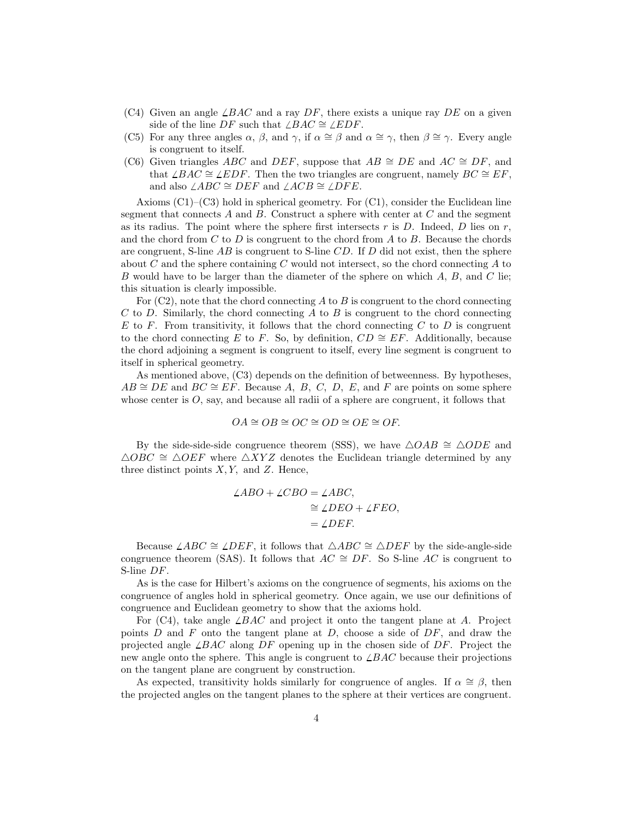- (C4) Given an angle  $\angle BAC$  and a ray DF, there exists a unique ray DE on a given side of the line DF such that  $\angle BAC \cong \angle EDF$ .
- (C5) For any three angles  $\alpha$ ,  $\beta$ , and  $\gamma$ , if  $\alpha \cong \beta$  and  $\alpha \cong \gamma$ , then  $\beta \cong \gamma$ . Every angle is congruent to itself.
- (C6) Given triangles ABC and DEF, suppose that  $AB \cong DE$  and  $AC \cong DF$ , and that  $\angle BAC \cong \angle EDF$ . Then the two triangles are congruent, namely  $BC \cong EF$ , and also  $\angle ABC \cong DEF$  and  $\angle ACB \cong \angle DFE$ .

Axioms (C1)–(C3) hold in spherical geometry. For (C1), consider the Euclidean line segment that connects  $A$  and  $B$ . Construct a sphere with center at  $C$  and the segment as its radius. The point where the sphere first intersects  $r$  is  $D$ . Indeed,  $D$  lies on  $r$ , and the chord from  $C$  to  $D$  is congruent to the chord from  $A$  to  $B$ . Because the chords are congruent, S-line  $AB$  is congruent to S-line  $CD$ . If D did not exist, then the sphere about C and the sphere containing C would not intersect, so the chord connecting  $A$  to B would have to be larger than the diameter of the sphere on which A, B, and C lie; this situation is clearly impossible.

For  $(C2)$ , note that the chord connecting A to B is congruent to the chord connecting  $C$  to  $D$ . Similarly, the chord connecting  $A$  to  $B$  is congruent to the chord connecting E to F. From transitivity, it follows that the chord connecting C to D is congruent to the chord connecting E to F. So, by definition,  $CD \cong EF$ . Additionally, because the chord adjoining a segment is congruent to itself, every line segment is congruent to itself in spherical geometry.

As mentioned above, (C3) depends on the definition of betweenness. By hypotheses,  $AB \cong DE$  and  $BC \cong EF$ . Because A, B, C, D, E, and F are points on some sphere whose center is  $O$ , say, and because all radii of a sphere are congruent, it follows that

$$
OA \cong OB \cong OC \cong OD \cong OE \cong OF.
$$

By the side-side-side congruence theorem (SSS), we have  $\triangle OAB \cong \triangle ODE$  and  $\triangle OBC \cong \triangle OEF$  where  $\triangle XYZ$  denotes the Euclidean triangle determined by any three distinct points  $X, Y$ , and  $Z$ . Hence,

$$
\angle ABO + \angle CBO = \angle ABC,
$$
  
\n
$$
\cong \angle DEO + \angle FEO,
$$
  
\n
$$
= \angle DEF.
$$

Because  $\angle ABC \cong \angle DEF$ , it follows that  $\triangle ABC \cong \triangle DEF$  by the side-angle-side congruence theorem (SAS). It follows that  $AC \cong DF$ . So S-line AC is congruent to S-line DF.

As is the case for Hilbert's axioms on the congruence of segments, his axioms on the congruence of angles hold in spherical geometry. Once again, we use our definitions of congruence and Euclidean geometry to show that the axioms hold.

For (C4), take angle  $\angle BAC$  and project it onto the tangent plane at A. Project points  $D$  and  $F$  onto the tangent plane at  $D$ , choose a side of  $DF$ , and draw the projected angle  $\angle BAC$  along DF opening up in the chosen side of DF. Project the new angle onto the sphere. This angle is congruent to  $\angle BAC$  because their projections on the tangent plane are congruent by construction.

As expected, transitivity holds similarly for congruence of angles. If  $\alpha \cong \beta$ , then the projected angles on the tangent planes to the sphere at their vertices are congruent.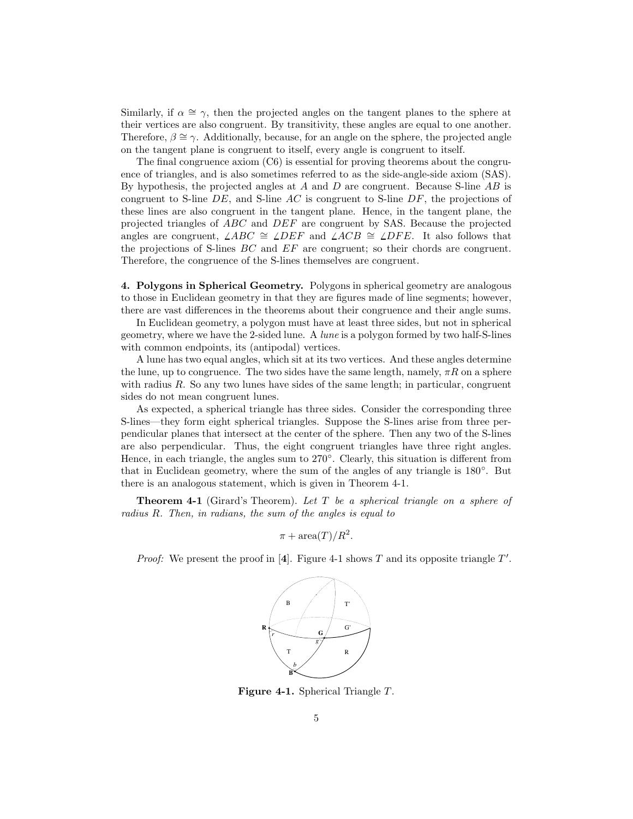Similarly, if  $\alpha \cong \gamma$ , then the projected angles on the tangent planes to the sphere at their vertices are also congruent. By transitivity, these angles are equal to one another. Therefore,  $\beta \cong \gamma$ . Additionally, because, for an angle on the sphere, the projected angle on the tangent plane is congruent to itself, every angle is congruent to itself.

The final congruence axiom (C6) is essential for proving theorems about the congruence of triangles, and is also sometimes referred to as the side-angle-side axiom (SAS). By hypothesis, the projected angles at  $A$  and  $D$  are congruent. Because S-line  $AB$  is congruent to S-line  $DE$ , and S-line AC is congruent to S-line  $DF$ , the projections of these lines are also congruent in the tangent plane. Hence, in the tangent plane, the projected triangles of ABC and DEF are congruent by SAS. Because the projected angles are congruent,  $\angle ABC \cong \angle DEF$  and  $\angle ACB \cong \angle DFE$ . It also follows that the projections of S-lines BC and EF are congruent; so their chords are congruent. Therefore, the congruence of the S-lines themselves are congruent.

4. Polygons in Spherical Geometry. Polygons in spherical geometry are analogous to those in Euclidean geometry in that they are figures made of line segments; however, there are vast differences in the theorems about their congruence and their angle sums.

In Euclidean geometry, a polygon must have at least three sides, but not in spherical geometry, where we have the 2-sided lune. A lune is a polygon formed by two half-S-lines with common endpoints, its (antipodal) vertices.

A lune has two equal angles, which sit at its two vertices. And these angles determine the lune, up to congruence. The two sides have the same length, namely,  $\pi R$  on a sphere with radius  $R$ . So any two lunes have sides of the same length; in particular, congruent sides do not mean congruent lunes.

As expected, a spherical triangle has three sides. Consider the corresponding three S-lines—they form eight spherical triangles. Suppose the S-lines arise from three perpendicular planes that intersect at the center of the sphere. Then any two of the S-lines are also perpendicular. Thus, the eight congruent triangles have three right angles. Hence, in each triangle, the angles sum to 270°. Clearly, this situation is different from that in Euclidean geometry, where the sum of the angles of any triangle is  $180^\circ$ . But there is an analogous statement, which is given in Theorem 4-1.

**Theorem 4-1** (Girard's Theorem). Let  $T$  be a spherical triangle on a sphere of radius R. Then, in radians, the sum of the angles is equal to

 $\pi + \operatorname{area}(T)/R^2$ .

*Proof:* We present the proof in [4]. Figure 4-1 shows T and its opposite triangle  $T'$ .



Figure 4-1. Spherical Triangle T.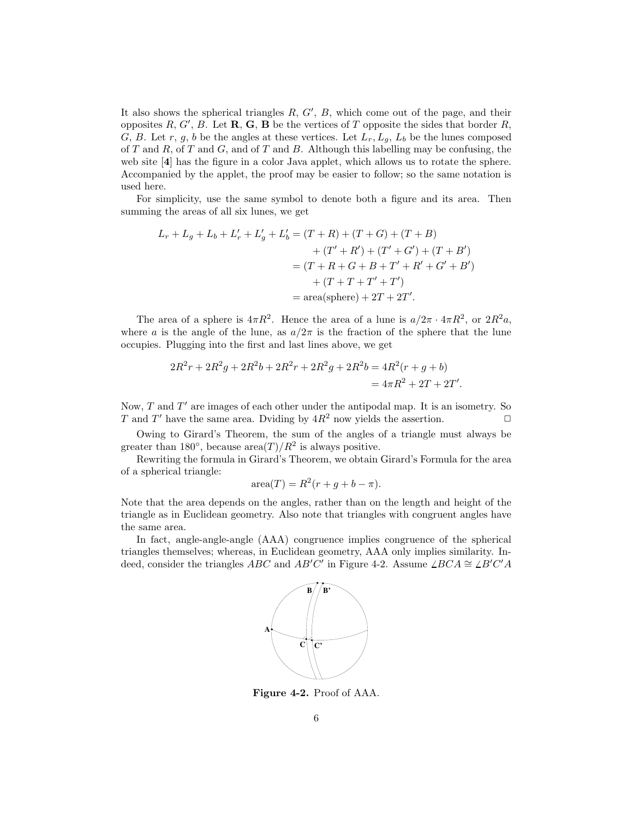It also shows the spherical triangles  $R, G', B$ , which come out of the page, and their opposites R, G', B. Let  $\mathbf{R}, \mathbf{G}, \mathbf{B}$  be the vertices of T opposite the sides that border R, G, B. Let r, g, b be the angles at these vertices. Let  $L_r, L_g, L_b$  be the lunes composed of T and R, of T and G, and of T and B. Although this labelling may be confusing, the web site [4] has the figure in a color Java applet, which allows us to rotate the sphere. Accompanied by the applet, the proof may be easier to follow; so the same notation is used here.

For simplicity, use the same symbol to denote both a figure and its area. Then summing the areas of all six lunes, we get

$$
L_r + L_g + L_b + L'_r + L'_g + L'_b = (T + R) + (T + G) + (T + B)
$$
  
+ 
$$
+ (T' + R') + (T' + G') + (T + B')
$$
  
= 
$$
(T + R + G + B + T' + R' + G' + B')
$$
  
+ 
$$
(T + T + T' + T')
$$
  
= area(sphere) + 2T + 2T'.

The area of a sphere is  $4\pi R^2$ . Hence the area of a lune is  $a/2\pi \cdot 4\pi R^2$ , or  $2R^2a$ , where a is the angle of the lune, as  $a/2\pi$  is the fraction of the sphere that the lune occupies. Plugging into the first and last lines above, we get

$$
2R^2r + 2R^2g + 2R^2b + 2R^2r + 2R^2g + 2R^2b = 4R^2(r + g + b)
$$
  
=  $4\pi R^2 + 2T + 2T'.$ 

Now,  $T$  and  $T'$  are images of each other under the antipodal map. It is an isometry. So T and T' have the same area. Dviding by  $4R^2$  now yields the assertion.

Owing to Girard's Theorem, the sum of the angles of a triangle must always be greater than 180 $^{\circ}$ , because area $(T)/R^2$  is always positive.

Rewriting the formula in Girard's Theorem, we obtain Girard's Formula for the area of a spherical triangle:

$$
\operatorname{area}(T) = R^2(r + g + b - \pi).
$$

Note that the area depends on the angles, rather than on the length and height of the triangle as in Euclidean geometry. Also note that triangles with congruent angles have the same area.

In fact, angle-angle-angle (AAA) congruence implies congruence of the spherical triangles themselves; whereas, in Euclidean geometry, AAA only implies similarity. Indeed, consider the triangles ABC and AB'C' in Figure 4-2. Assume  $\angle BCA \cong \angle B'C'A$ 



Figure 4-2. Proof of AAA.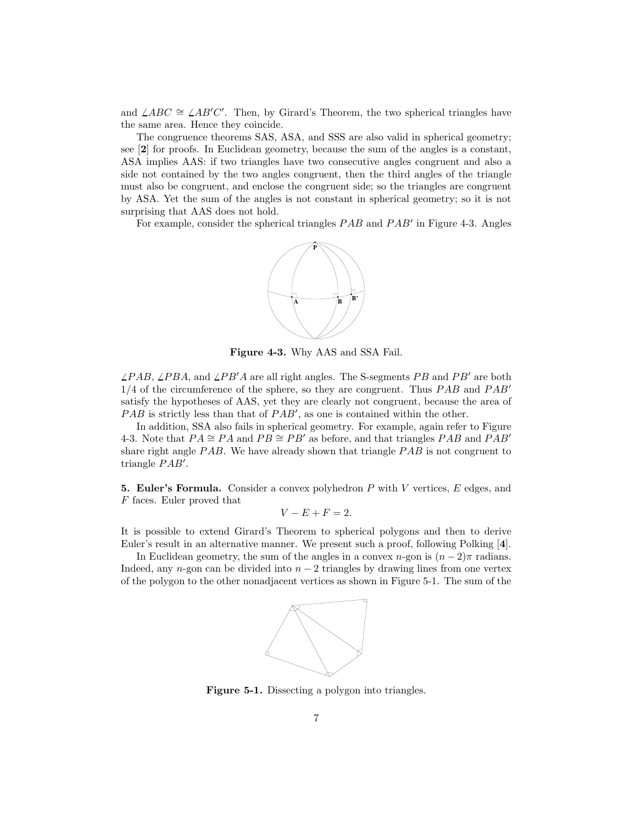and  $\angle ABC \cong \angle AB'C'$ . Then, by Girard's Theorem, the two spherical triangles have the same area. Hence they coincide.

The congruence theorems SAS, ASA, and SSS are also valid in spherical geometry; see [2] for proofs. In Euclidean geometry, because the sum of the angles is a constant, ASA implies AAS: if two triangles have two consecutive angles congruent and also a side not contained by the two angles congruent, then the third angles of the triangle must also be congruent, and enclose the congruent side; so the triangles are congruent by ASA. Yet the sum of the angles is not constant in spherical geometry; so it is not surprising that AAS does not hold.

For example, consider the spherical triangles  $PAB$  and  $PAB'$  in Figure 4-3. Angles



Figure 4-3. Why AAS and SSA Fail.

 $\angle PAB$ ,  $\angle PBA$ , and  $\angle PB'A$  are all right angles. The S-segments PB and PB' are both  $1/4$  of the circumference of the sphere, so they are congruent. Thus  $PAB$  and  $PAB'$ satisfy the hypotheses of AAS, yet they are clearly not congruent, because the area of  $PAB$  is strictly less than that of  $PAB'$ , as one is contained within the other.

In addition, SSA also fails in spherical geometry. For example, again refer to Figure 4-3. Note that  $PA \cong PA$  and  $PB \cong PB'$  as before, and that triangles PAB and PAB<sup> $\prime$ </sup> share right angle PAB. We have already shown that triangle PAB is not congruent to triangle  $PAB'$ .

5. Euler's Formula. Consider a convex polyhedron  $P$  with  $V$  vertices,  $E$  edges, and F faces. Euler proved that

$$
V - E + F = 2.
$$

It is possible to extend Girard's Theorem to spherical polygons and then to derive Euler's result in an alternative manner. We present such a proof, following Polking [4].

In Euclidean geometry, the sum of the angles in a convex  $n$ -gon is  $(n-2)\pi$  radians. Indeed, any n-gon can be divided into  $n-2$  triangles by drawing lines from one vertex of the polygon to the other nonadjacent vertices as shown in Figure 5-1. The sum of the



Figure 5-1. Dissecting a polygon into triangles.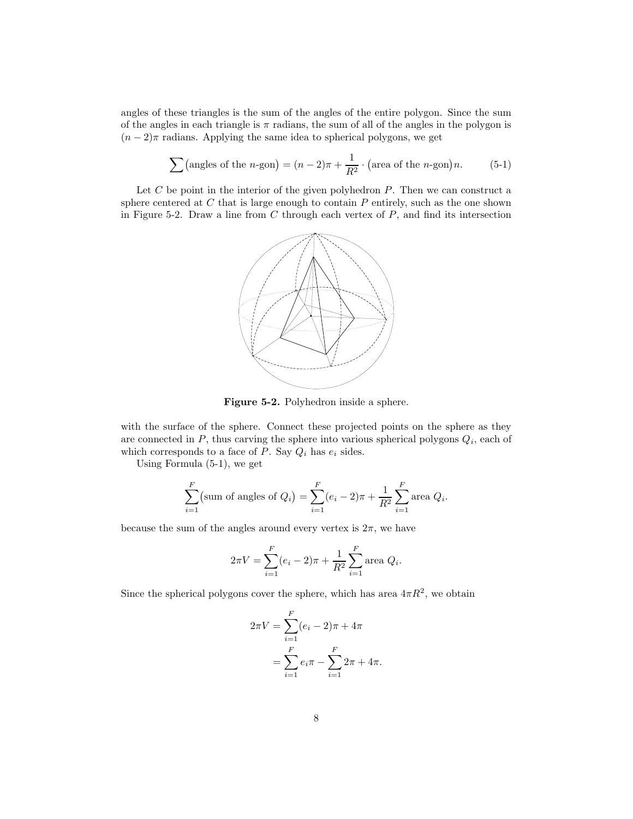angles of these triangles is the sum of the angles of the entire polygon. Since the sum of the angles in each triangle is  $\pi$  radians, the sum of all of the angles in the polygon is  $(n-2)\pi$  radians. Applying the same idea to spherical polygons, we get

$$
\sum \left(\text{angles of the } n\text{-gon}\right) = (n-2)\pi + \frac{1}{R^2} \cdot \left(\text{area of the } n\text{-gon}\right)n. \tag{5-1}
$$

Let  $C$  be point in the interior of the given polyhedron  $P$ . Then we can construct a sphere centered at  $C$  that is large enough to contain  $P$  entirely, such as the one shown in Figure 5-2. Draw a line from  $C$  through each vertex of  $P$ , and find its intersection



Figure 5-2. Polyhedron inside a sphere.

with the surface of the sphere. Connect these projected points on the sphere as they are connected in  $P$ , thus carving the sphere into various spherical polygons  $Q_i$ , each of which corresponds to a face of  $P$ . Say  $Q_i$  has  $e_i$  sides.

Using Formula (5-1), we get

$$
\sum_{i=1}^{F} \text{(sum of angles of } Q_i\text{)} = \sum_{i=1}^{F} (e_i - 2)\pi + \frac{1}{R^2} \sum_{i=1}^{F} \text{area } Q_i.
$$

because the sum of the angles around every vertex is  $2\pi$ , we have

$$
2\pi V = \sum_{i=1}^{F} (e_i - 2)\pi + \frac{1}{R^2} \sum_{i=1}^{F} \text{area } Q_i.
$$

Since the spherical polygons cover the sphere, which has area  $4\pi R^2$ , we obtain

$$
2\pi V = \sum_{i=1}^{F} (e_i - 2)\pi + 4\pi
$$
  
= 
$$
\sum_{i=1}^{F} e_i \pi - \sum_{i=1}^{F} 2\pi + 4\pi.
$$